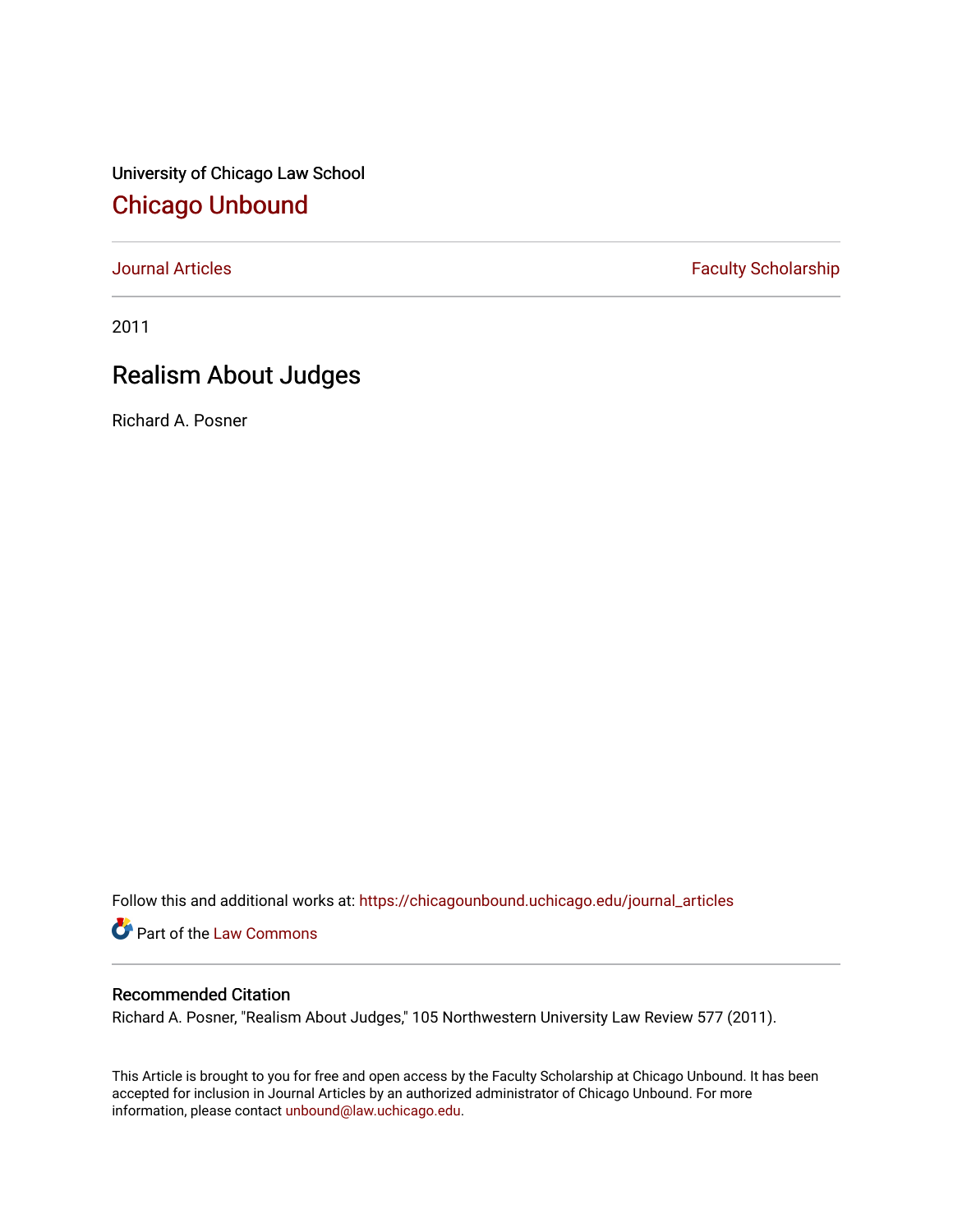University of Chicago Law School [Chicago Unbound](https://chicagounbound.uchicago.edu/)

[Journal Articles](https://chicagounbound.uchicago.edu/journal_articles) **Faculty Scholarship Faculty Scholarship** 

2011

## Realism About Judges

Richard A. Posner

Follow this and additional works at: [https://chicagounbound.uchicago.edu/journal\\_articles](https://chicagounbound.uchicago.edu/journal_articles?utm_source=chicagounbound.uchicago.edu%2Fjournal_articles%2F1844&utm_medium=PDF&utm_campaign=PDFCoverPages) 

Part of the [Law Commons](http://network.bepress.com/hgg/discipline/578?utm_source=chicagounbound.uchicago.edu%2Fjournal_articles%2F1844&utm_medium=PDF&utm_campaign=PDFCoverPages)

## Recommended Citation

Richard A. Posner, "Realism About Judges," 105 Northwestern University Law Review 577 (2011).

This Article is brought to you for free and open access by the Faculty Scholarship at Chicago Unbound. It has been accepted for inclusion in Journal Articles by an authorized administrator of Chicago Unbound. For more information, please contact [unbound@law.uchicago.edu](mailto:unbound@law.uchicago.edu).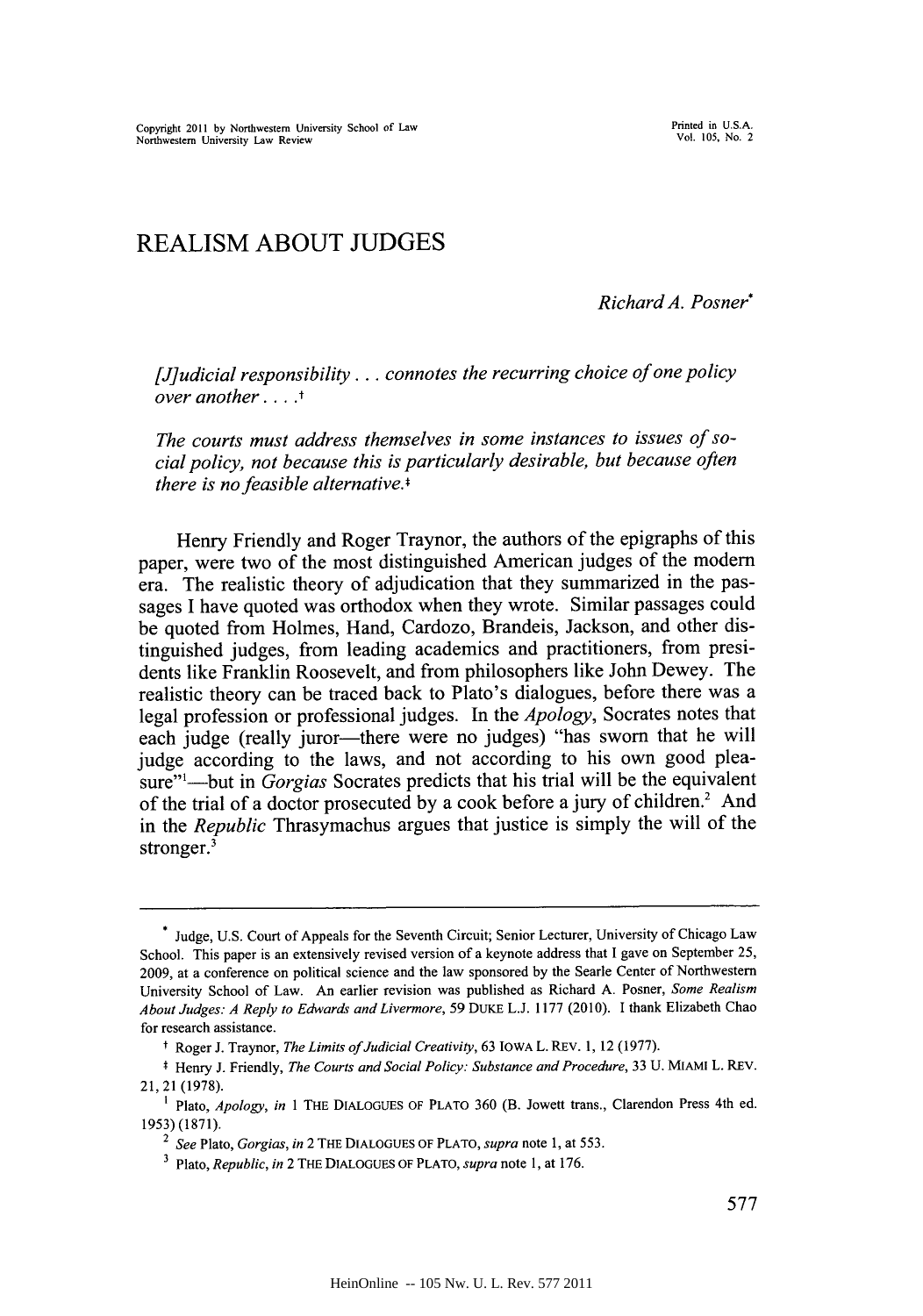## REALISM **ABOUT JUDGES**

*Richard A. Posner\**

*[J]udicial responsibility.* **. .** *connotes the recurring choice of one policy over another* **...** .

*The courts must address themselves in some instances to issues of social policy, not because this is particularly desirable, but because often there is no feasible alternative.\**

Henry Friendly and Roger Traynor, the authors of the epigraphs of this paper, were two of the most distinguished American judges of the modem era. The realistic theory of adjudication that they summarized in the passages **I** have quoted was orthodox when they wrote. Similar passages could be quoted from Holmes, Hand, Cardozo, Brandeis, Jackson, and other distinguished judges, from leading academics and practitioners, from presidents like Franklin Roosevelt, and from philosophers like John Dewey. The realistic theory can be traced back to Plato's dialogues, before there was a legal profession or professional judges. In the *Apology,* Socrates notes that each judge (really juror-there were no judges) "has sworn that he will judge according to the laws, and not according to his own good pleasure"<sup>1</sup>—but in *Gorgias* Socrates predicts that his trial will be the equivalent of the trial of a doctor prosecuted **by** a cook before a jury of children.2 And in the *Republic* Thrasymachus argues that justice is simply the will of the stronger.<sup>3</sup>

<sup>\*</sup> Judge, **U.S.** Court of Appeals for the Seventh Circuit; Senior Lecturer, University of Chicago Law School. This paper is an extensively revised version of a keynote address that **I** gave on September *25,* **2009,** at a conference on political science and the law sponsored **by** the Searle Center of Northwestern University School of Law. An earlier revision was published as Richard **A.** Posner, *Some Realism About Judges: A Reply to Edwards and Livermore,* **59** DUKE **L.J. 1177** (2010). I thank Elizabeth Chao for research assistance.

t Roger **J.** Traynor, *The Limits ofJudicial Creativity,* **63 IOWA** L. REv. **1,** 12 **(1977).**

**<sup>\*</sup>** Henry **J.** Friendly, *The Courts and Social Policy: Substance and Procedure,* **33 U. MIAMI** L. REV. 21, 21 **(1978).**

**<sup>1</sup>** Plato, *Apology, in* 1 THE **DIALOGUES** OF PLATO **360** (B. Jowett trans., Clarendon Press 4th ed. *1953)* **(1871).**

*<sup>2</sup> See Plato, Gorgias, in* 2 THE **DIALOGUES OF PLATO,** *supra note* **1,** at **553.**

Plato, *Republic, in* 2 **THE DIALOGUES OF PLATO,** *supra note* **1,** at **176.**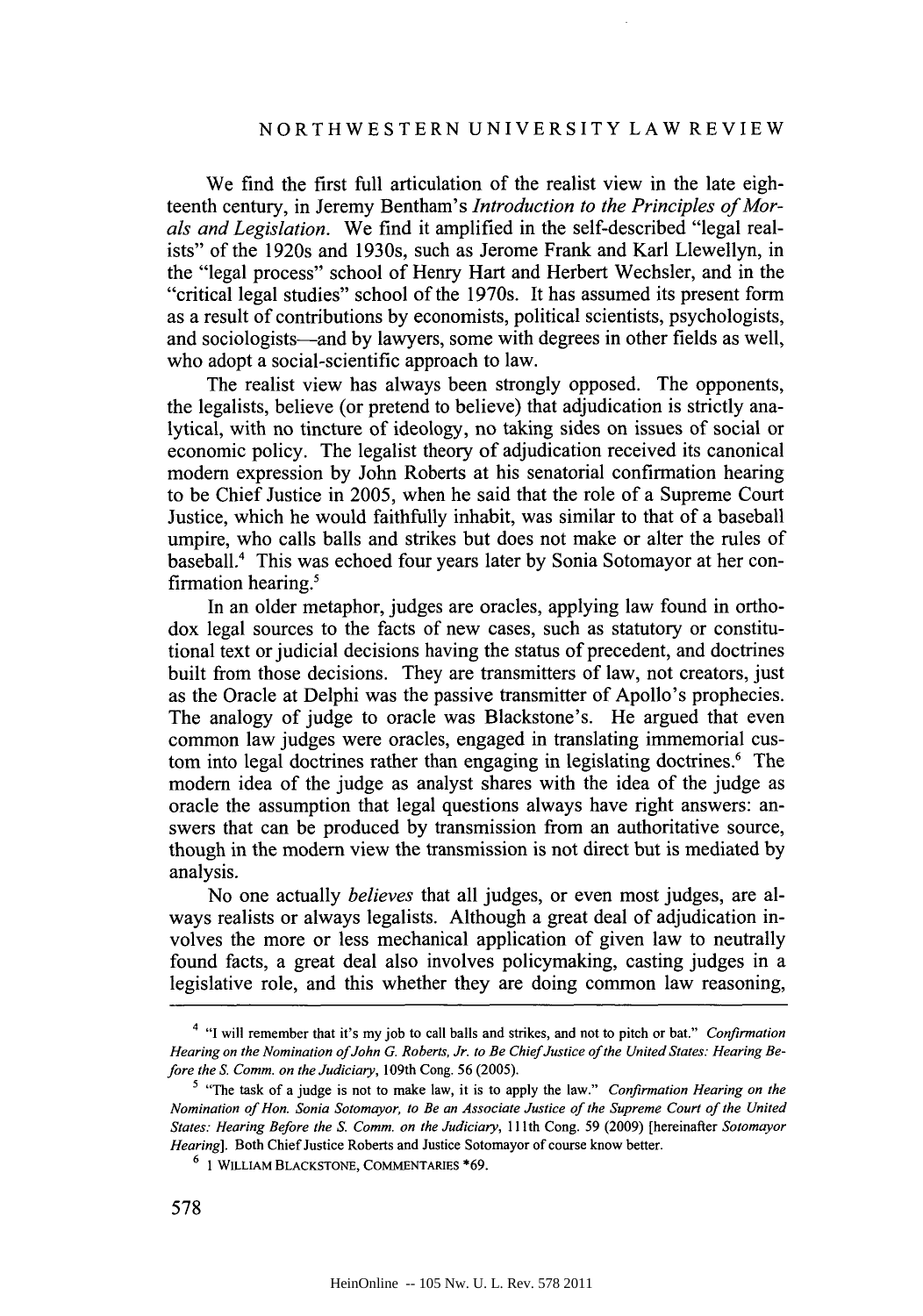We find the first full articulation of the realist view in the late eighteenth century, in Jeremy Bentham's *Introduction to the Principles of Morals and Legislation.* We find it amplified in the self-described "legal realists" of the 1920s and 1930s, such as Jerome Frank and Karl Llewellyn, in the "legal process" school of Henry Hart and Herbert Wechsler, and in the "critical legal studies" school of the 1970s. It has assumed its present form as a result of contributions **by** economists, political scientists, psychologists, and sociologists-and **by** lawyers, some with degrees in other fields as well, who adopt a social-scientific approach to law.

The realist view has always been strongly opposed. The opponents, the legalists, believe (or pretend to believe) that adjudication is strictly analytical, with no tincture of ideology, no taking sides on issues of social or economic policy. The legalist theory of adjudication received its canonical modem expression **by** John Roberts at his senatorial confirmation hearing to be Chief Justice in **2005,** when he said that the role of a Supreme Court Justice, which he would faithfully inhabit, was similar to that of a baseball umpire, who calls balls and strikes but does not make or alter the rules of baseball.' This was echoed four years later **by** Sonia Sotomayor at her confirmation hearing.'

In an older metaphor, judges are oracles, applying law found in orthodox legal sources to the facts of new cases, such as statutory or constitutional text or judicial decisions having the status of precedent, and doctrines built from those decisions. They are transmitters of law, not creators, **just** as the Oracle at Delphi was the passive transmitter of Apollo's prophecies. The analogy of judge to oracle was Blackstone's. He argued that even common law judges were oracles, engaged in translating immemorial custom into legal doctrines rather than engaging in legislating doctrines.<sup>6</sup> The modem idea of the judge as analyst shares with the idea of the judge as oracle the assumption that legal questions always have right answers: answers that can be produced **by** transmission from an authoritative source, though in the modem view the transmission is not direct but is mediated **by** analysis.

No one actually *believes* that all judges, or even most judges, are always realists or always legalists. Although a great deal of adjudication involves the more or less mechanical application of given law to neutrally found facts, a great deal also involves policymaking, casting judges in a legislative role, and this whether they are doing common law reasoning,

<sup>4</sup> **"I** will remember that it's my **job** to call balls and strikes, and not to pitch or bat." *Confirmation* Hearing on the Nomination of John G. Roberts, Jr. to Be Chief Justice of the United States: Hearing Be*fore the S. Comm. on the Judiciary,* 109th Cong. **56 (2005).**

<sup>&</sup>lt;sup>5</sup> "The task of a judge is not to make law, it is to apply the law." *Confirmation Hearing on the Nomination of Hon. Sonia Sotomayor, to Be an Associate Justice of the Supreme Court of the United States: Hearing Before the S. Comm. on the Judiciary,* 111th Cong. *59* **(2009)** [hereinafter *Sotomayor Hearing].* Both Chief Justice Roberts and Justice Sotomayor of course know better.

**<sup>6 1</sup> WILLIAM BLACKSTONE, COMMENTARIES \*69.**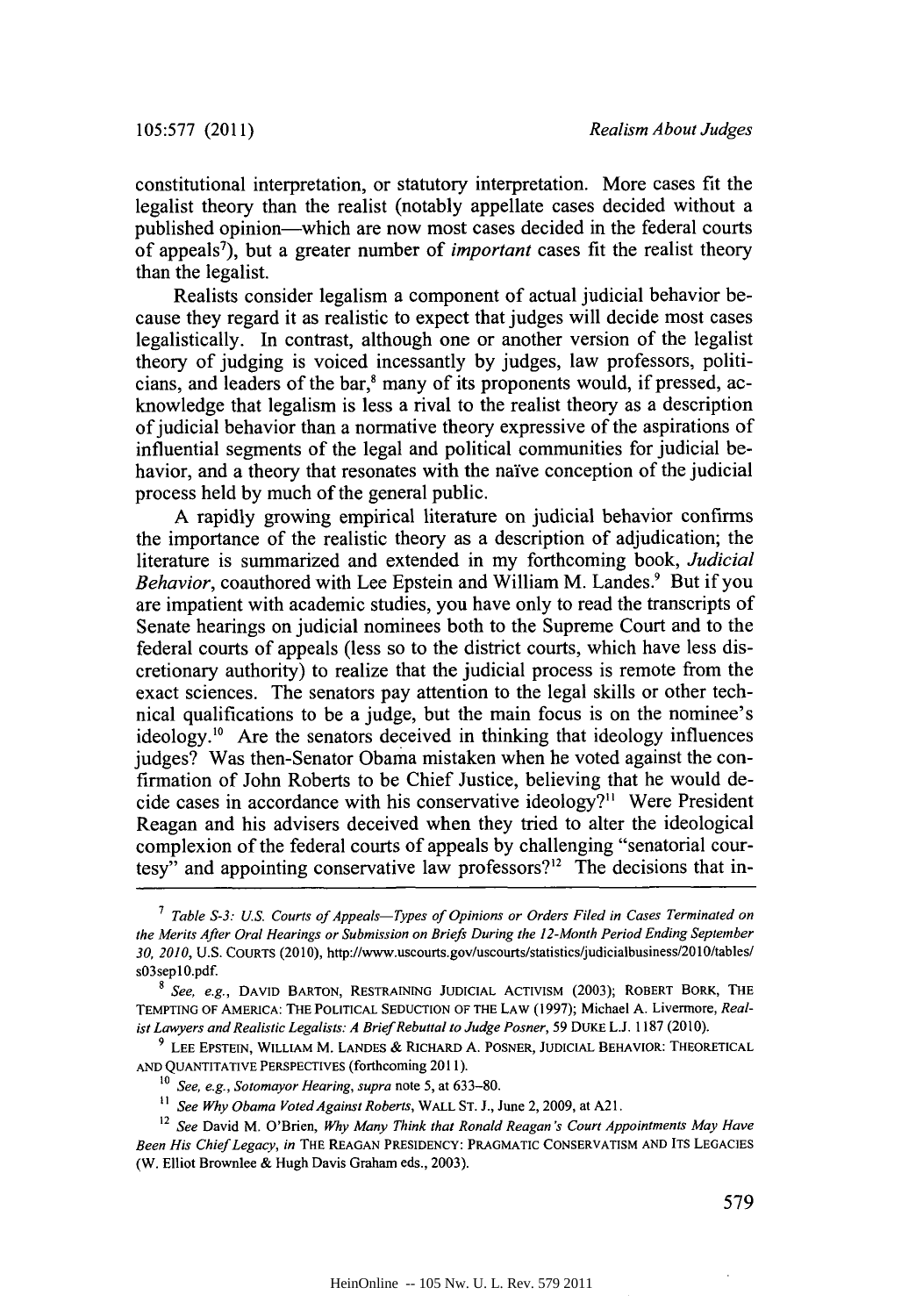constitutional interpretation, or statutory interpretation. More cases fit the legalist theory than the realist (notably appellate cases decided without a published opinion—which are now most cases decided in the federal courts of appeals7), but a greater number of *important* cases fit the realist theory than the legalist.

Realists consider legalism a component of actual judicial behavior because they regard it as realistic to expect that judges will decide most cases legalistically. In contrast, although one or another version of the legalist theory of judging is voiced incessantly **by** judges, law professors, politicians, and leaders of the bar,' many of its proponents would, if pressed, acknowledge that legalism is less a rival to the realist theory as a description of judicial behavior than a normative theory expressive of the aspirations of influential segments of the legal and political communities for judicial behavior, and a theory that resonates with the naive conception of the judicial process held **by** much of the general public.

**A** rapidly growing empirical literature on judicial behavior confirms the importance of the realistic theory as a description of adjudication; the literature is summarized and extended in my forthcoming book, *Judicial Behavior,* coauthored with Lee Epstein and William M. Landes.' But if you are impatient with academic studies, you have only to read the transcripts of Senate hearings on judicial nominees both to the Supreme Court and to the federal courts of appeals (less so to the district courts, which have less discretionary authority) to realize that the judicial process is remote from the exact sciences. The senators pay attention to the legal skills or other technical qualifications to be a judge, but the main focus is on the nominee's ideology.<sup>10</sup> Are the senators deceived in thinking that ideology influences judges? Was then-Senator Obama mistaken when he voted against the confirmation of John Roberts to be Chief Justice, believing that he would decide cases in accordance with his conservative ideology?" Were President Reagan and his advisers deceived when they tried to alter the ideological complexion of the federal courts of appeals **by** challenging "senatorial courtesy" and appointing conservative law professors?<sup>12</sup> The decisions that in-

*Table S-3: U.S. Courts of Appeals-Types of Opinions or Orders Filed in Cases Terminated on the Merits After Oral Hearings or Submission on Briefs During the 12-Month Period Ending September 30, 2010,* **U.S.** COURTS (2010), http://www.uscourts.gov/uscourts/statistics/judicialbusiness/2010/tables/ s03sepl0.pdf.

**<sup>8</sup>** *See, e.g.,* **DAVID** BARTON, RESTRAINING **JUDICIAL ACTIVISM (2003);** ROBERT BORK, THE **TEMPTING** OF AMERICA: THE POLITICAL **SEDUCTION** OF THE LAW **(1997); Michael A. Livermore,** *Realist Lawyers and Realistic Legalists: A BriefRebuttal to Judge Posner, 59* **DUKE L.J. 1187 (2010).**

**<sup>9</sup> LEE EPSTEIN,** WILLIAM **M. LANDES** *&* **RICHARD A. POSNER, JUDICIAL BEHAVIOR: THEORETICAL AND QUANTITATIVE** PERSPECTIVES **(forthcoming 2011).**

to *See, e.g., Sotomayor Hearing, supra note* **5, at 633-80.**

<sup>&</sup>lt;sup>11</sup> See Why Obama Voted Against Roberts, WALL ST. J., June 2, 2009, at A21.

<sup>12</sup> *See* David M. **O'Brien,** *Why Many Think that Ronald Reagan's Court Appointments May Have Been His ChiefLegacy, in* **THE REAGAN PRESIDENCY: PRAGMATIC CONSERVATISM AND ITS LEGACIES** (W. Elliot Brownlee **&** Hugh Davis Graham eds., **2003).**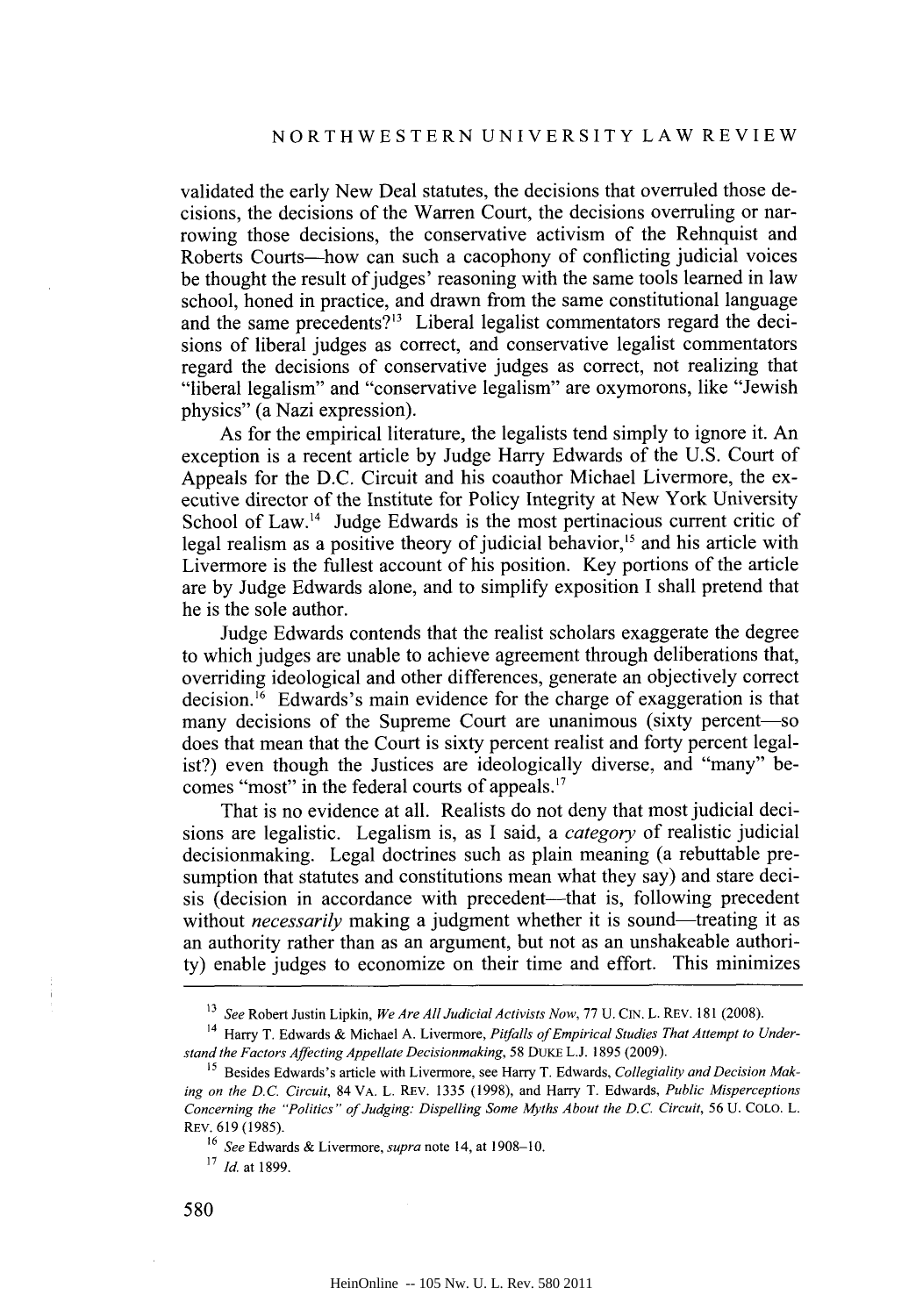validated the early New Deal statutes, the decisions that overruled those decisions, the decisions of the Warren Court, the decisions overruling or narrowing those decisions, the conservative activism of the Rehnquist and Roberts Courts—how can such a cacophony of conflicting judicial voices be thought the result of judges' reasoning with the same tools learned in law school, honed in practice, and drawn from the same constitutional language and the same precedents?" Liberal legalist commentators regard the decisions of liberal judges as correct, and conservative legalist commentators regard the decisions of conservative judges as correct, not realizing that "liberal legalism" and "conservative legalism" are oxymorons, like "Jewish physics" (a Nazi expression).

As for the empirical literature, the legalists tend simply to ignore it. An exception is a recent article **by** Judge Harry Edwards of the **U.S.** Court of Appeals for the **D.C.** Circuit and his coauthor Michael Livermore, the executive director of the Institute for Policy Integrity at New York University School of Law.<sup>14</sup> Judge Edwards is the most pertinacious current critic of legal realism as a positive theory of judicial behavior,<sup>15</sup> and his article with Livermore is the fullest account of his position. Key portions of the article are **by** Judge Edwards alone, and to simplify exposition **I** shall pretend that he is the sole author.

Judge Edwards contends that the realist scholars exaggerate the degree to which judges are unable to achieve agreement through deliberations that, overriding ideological and other differences, generate an objectively correct decision.<sup>16</sup> Edwards's main evidence for the charge of exaggeration is that many decisions of the Supreme Court are unanimous (sixty percent-so does that mean that the Court is sixty percent realist and forty percent legalist?) even though the Justices are ideologically diverse, and "many" becomes "most" in the federal courts of appeals."

That is no evidence at all. Realists do not deny that most judicial decisions are legalistic. Legalism is, as **I** said, a *category of* realistic judicial decisionmaking. Legal doctrines such as plain meaning (a rebuttable presumption that statutes and constitutions mean what they say) and stare decisis (decision in accordance with precedent—that is, following precedent without *necessarily* making a judgment whether it is sound—treating it as an authority rather than as an argument, but not as an unshakeable authority) enable judges to economize on their time and effort. This minimizes

<sup>&</sup>lt;sup>13</sup> *See* Robert Justin Lipkin, *We Are All Judicial Activists Now, 77 U.CIN. L. REV.* 181 (2008).

<sup>14</sup> Harry T. Edwards **&** Michael **A.** Livermore, *Pitfalls of Empirical Studies That Attempt to Understand the Factors Affecting Appellate Decisionmaking,* **58** DUKE **L.J. 1895 (2009).**

*<sup>15</sup>* Besides Edwards's article with Livermore, see Harry T. Edwards, *Collegiality and Decision Making on the D.C. Circuit,* 84 VA. L. REV. **1335 (1998),** and Harry T. Edwards, *Public Misperceptions Concerning the "Politics" of Judging: Dispelling Some Myths About the D.C. Circuit,* **56 U. COLO.** L. REV. **619 (1985).**

*<sup>16</sup> See* Edwards **&** Livermore, *supra* note 14, at **1908-10.**

**<sup>&#</sup>x27;7** *Id.* at **1899.**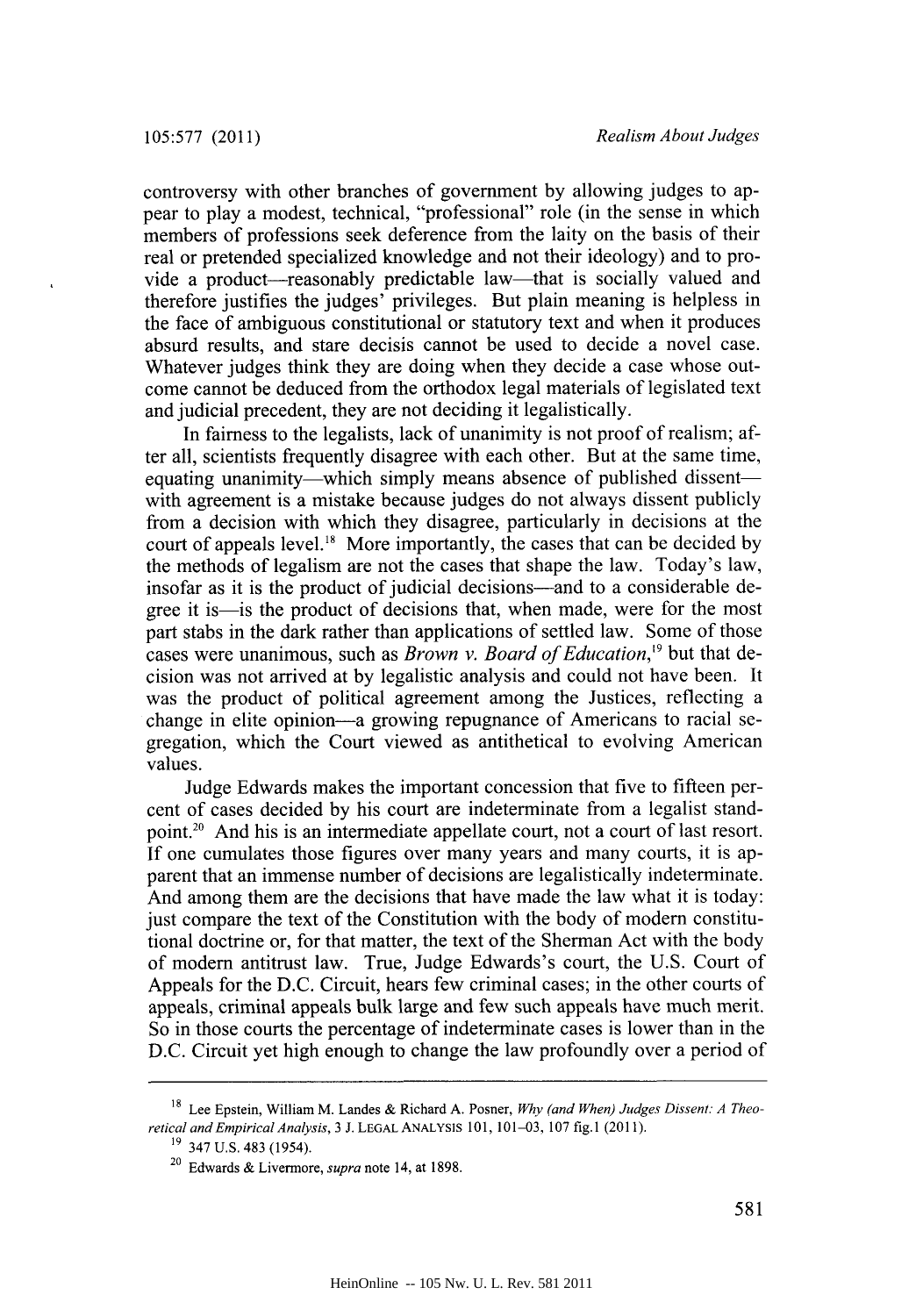controversy with other branches of government **by** allowing judges to appear to play a modest, technical, "professional" role (in the sense in which members of professions seek deference from the laity on the basis of their real or pretended specialized knowledge and not their ideology) and to provide a product-reasonably predictable law-that is socially valued and therefore justifies the judges' privileges. But plain meaning is helpless in the face of ambiguous constitutional or statutory text and when it produces absurd results, and stare decisis cannot be used to decide a novel case. Whatever judges think they are doing when they decide a case whose outcome cannot be deduced from the orthodox legal materials of legislated text and judicial precedent, they are not deciding it legalistically.

In fairness to the legalists, lack of unanimity is not proof of realism; after all, scientists frequently disagree with each other. But at the same time, equating unanimity—which simply means absence of published dissent with agreement is a mistake because judges do not always dissent publicly from a decision with which they disagree, particularly in decisions at the court of appeals level." More importantly, the cases that can be decided **by** the methods of legalism are not the cases that shape the law. Today's law, insofar as it is the product of judicial decisions—and to a considerable degree it is-is the product of decisions that, when made, were for the most part stabs in the dark rather than applications of settled law. Some of those cases were unanimous, such as *Brown v. Board of Education*,<sup>19</sup> but that decision was not arrived at **by** legalistic analysis and could not have been. It was the product of political agreement among the Justices, reflecting a change in elite opinion-a growing repugnance of Americans to racial segregation, which the Court viewed as antithetical to evolving American values.

Judge Edwards makes the important concession that five to fifteen percent of cases decided **by** his court are indeterminate from a legalist standpoint.20 And his is an intermediate appellate court, not a court of last resort. **If** one cumulates those figures over many years and many courts, it is apparent that an immense number of decisions are legalistically indeterminate. And among them are the decisions that have made the law what it is today: just compare the text of the Constitution with the body of modern constitutional doctrine or, for that matter, the text of the Sherman Act with the body of modern antitrust law. True, Judge Edwards's court, the **U.S.** Court of Appeals for the **D.C.** Circuit, hears few criminal cases; in the other courts of appeals, criminal appeals bulk large and few such appeals have much merit. So in those courts the percentage of indeterminate cases is lower than in the **D.C.** Circuit yet high enough to change the law profoundly over a period of

Lee Epstein, William M. Landes **&** Richard **A.** Posner, *Why (and When) Judges Dissent: A Theoretical and Empirical Analysis,* **3 J. LEGAL ANALYSIS 101, 101-03, 107 fig.1 (2011).**

**<sup>1</sup>** 347 **U.S.** 483 *(1954).*

<sup>20</sup> Edwards **&** Livermore, *supra* note 14, at **1898.**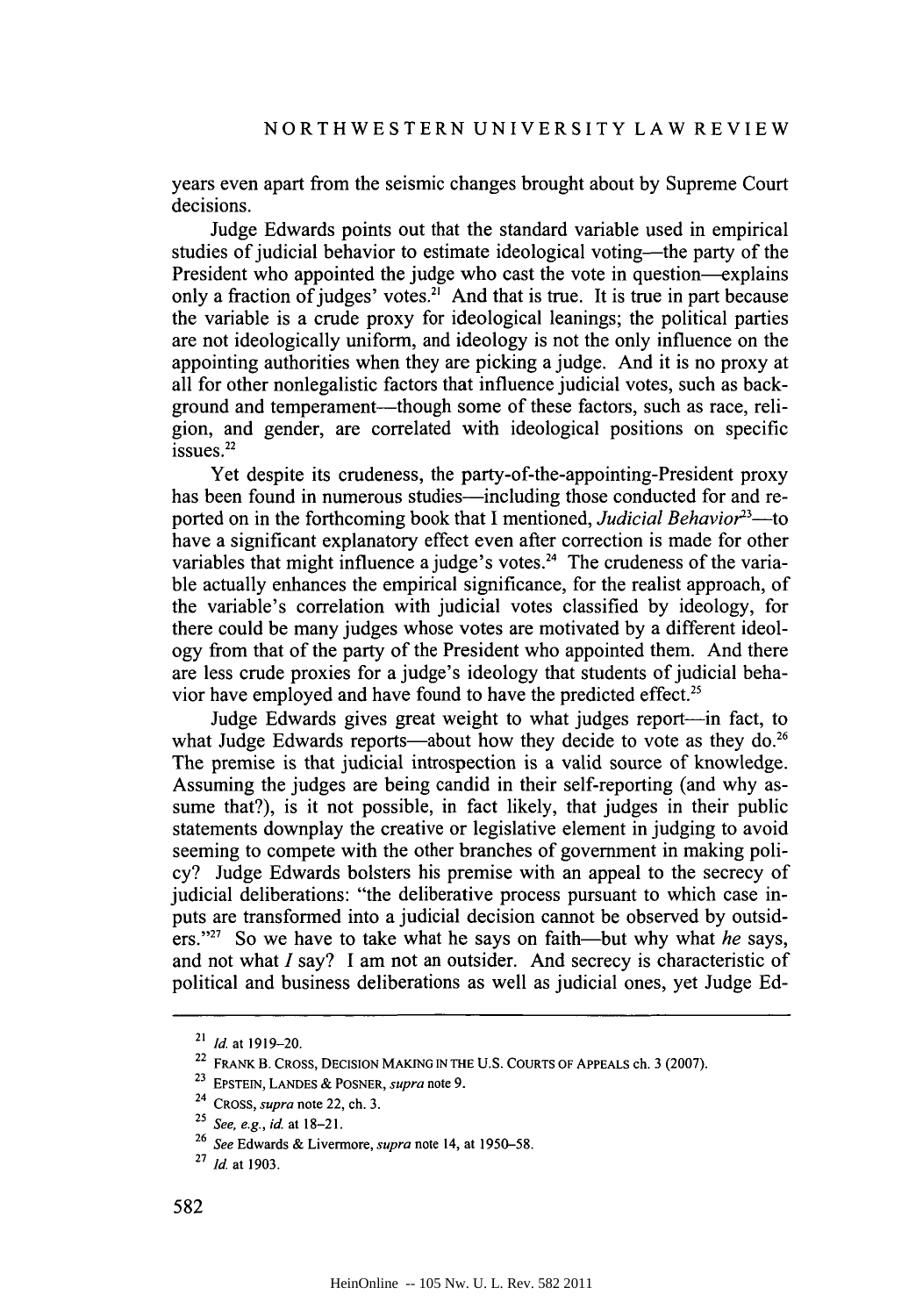years even apart from the seismic changes brought about **by** Supreme Court decisions.

Judge Edwards points out that the standard variable used in empirical studies of judicial behavior to estimate ideological voting—the party of the President who appointed the judge who cast the vote in question-explains only a fraction of judges' votes.<sup>21</sup> And that is true. It is true in part because the variable is a crude proxy for ideological leanings; the political parties are not ideologically uniform, and ideology is not the only influence on the appointing authorities when they are picking a judge. And it is no proxy at all for other nonlegalistic factors that influence judicial votes, such as background and temperament—though some of these factors, such as race, religion, and gender, are correlated with ideological positions on specific issues.<sup>22</sup>

Yet despite its crudeness, the party-of-the-appointing-President proxy has been found in numerous studies—including those conducted for and reported on in the forthcoming book that **I** mentioned, *Judicial Behavior"'-to* have a significant explanatory effect even after correction is made for other variables that might influence a judge's votes.<sup>24</sup> The crudeness of the variable actually enhances the empirical significance, for the realist approach, of the variable's correlation with judicial votes classified **by** ideology, for there could be many judges whose votes are motivated **by** a different ideology from that of the party of the President who appointed them. And there are less crude proxies for a judge's ideology that students of judicial behavior have employed and have found to have the predicted effect.25

Judge Edwards gives great weight to what judges report—in fact, to what Judge Edwards reports—about how they decide to vote as they do.<sup>26</sup> The premise is that judicial introspection is a valid source of knowledge. Assuming the judges are being candid in their self-reporting (and why assume that?), is it not possible, in fact likely, that judges in their public statements downplay the creative or legislative element in judging to avoid seeming to compete with the other branches of government in making policy? Judge Edwards bolsters his premise with an appeal to the secrecy of judicial deliberations: "the deliberative process pursuant to which case inputs are transformed into a judicial decision cannot be observed **by** outsiders."27 So we have to take what he says on faith-but why what *he* says, and not what *I* say? **I** am not an outsider. And secrecy is characteristic of political and business deliberations as well as judicial ones, yet Judge **Ed-**

**<sup>21</sup>** *Id* at **1919-20.**

<sup>22</sup> **FRANK B. CROSS, DECISION MAKING IN THE U.S. COURTS OF APPEALS** ch. **3 (2007).**

**<sup>23</sup> EPSTEIN, LANDES &** *POSNER, supra* note **9.**

**<sup>24</sup>***CROSS, supra* note 22, ch. **3.**

**<sup>25</sup>***See, e.g., id. at* **18-21.**

**<sup>26</sup>***See* Edwards **&** Livermore, *supra* **note** 14, at **1950-58.**

**<sup>27</sup>***Id.* at **1903.**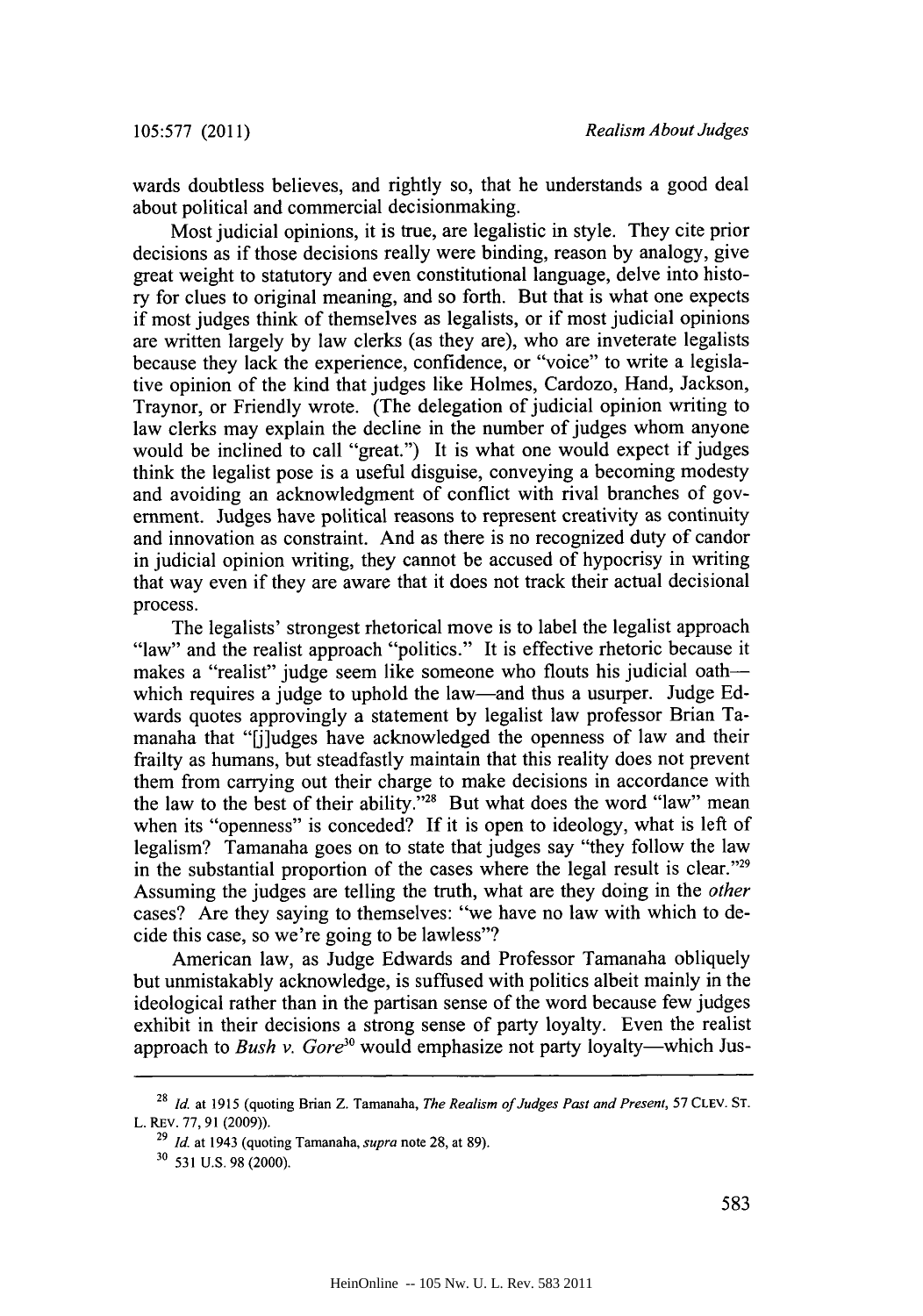wards doubtless believes, and rightly so, that he understands a good deal about political and commercial decisionmaking.

Most judicial opinions, it is true, are legalistic in style. They cite prior decisions as if those decisions really were binding, reason **by** analogy, give great weight to statutory and even constitutional language, delve into history for clues to original meaning, and so forth. But that is what one expects if most judges think of themselves as legalists, or if most judicial opinions are written largely **by** law clerks (as they are), who are inveterate legalists because they lack the experience, confidence, or "voice" to write a legislative opinion of the kind that judges like Holmes, Cardozo, Hand, Jackson, Traynor, or Friendly wrote. (The delegation of judicial opinion writing to law clerks may explain the decline in the number of judges whom anyone would be inclined to call "great.") It is what one would expect if judges think the legalist pose is a useful disguise, conveying a becoming modesty and avoiding an acknowledgment of conflict with rival branches of government. Judges have political reasons to represent creativity as continuity and innovation as constraint. And as there is no recognized duty of candor in judicial opinion writing, they cannot be accused of hypocrisy in writing that way even if they are aware that it does not track their actual decisional process.

The legalists' strongest rhetorical move is to label the legalist approach "law" and the realist approach "politics." It is effective rhetoric because it makes a "realist" judge seem like someone who flouts his judicial oathwhich requires a judge to uphold the law—and thus a usurper. Judge Edwards quotes approvingly a statement **by** legalist law professor Brian Tamanaha that "[j]udges have acknowledged the openness of law and their frailty as humans, but steadfastly maintain that this reality does not prevent them from carrying out their charge to make decisions in accordance with the law to the best of their ability."28 But what does the word "law" mean when its "openness" is conceded? **If** it is open to ideology, what is left of legalism? Tamanaha goes on to state that judges say "they follow the law in the substantial proportion of the cases where the legal result is clear."29 Assuming the judges are telling the truth, what are they doing in the *other* cases? Are they saying to themselves: "we have no law with which to decide this case, so we're going to be lawless"?

American law, as Judge Edwards and Professor Tamanaha obliquely but unmistakably acknowledge, is suffused with politics albeit mainly in the ideological rather than in the partisan sense of the word because few judges exhibit in their decisions a strong sense of party loyalty. Even the realist approach to *Bush v. Gore<sup>30</sup>* would emphasize not party loyalty-which Jus-

**<sup>28</sup>***Id.* at **1915** (quoting Brian Z. Tamanaha, *The Realism of Judges Past and Present, 57* **CLEV. ST.** L. REv. **77, 91 (2009)).**

**<sup>29</sup>***Id.* at 1943 (quoting Tamanaha, *supra* note **28,** at **89).**

**<sup>30 531</sup> U.S. 98** (2000).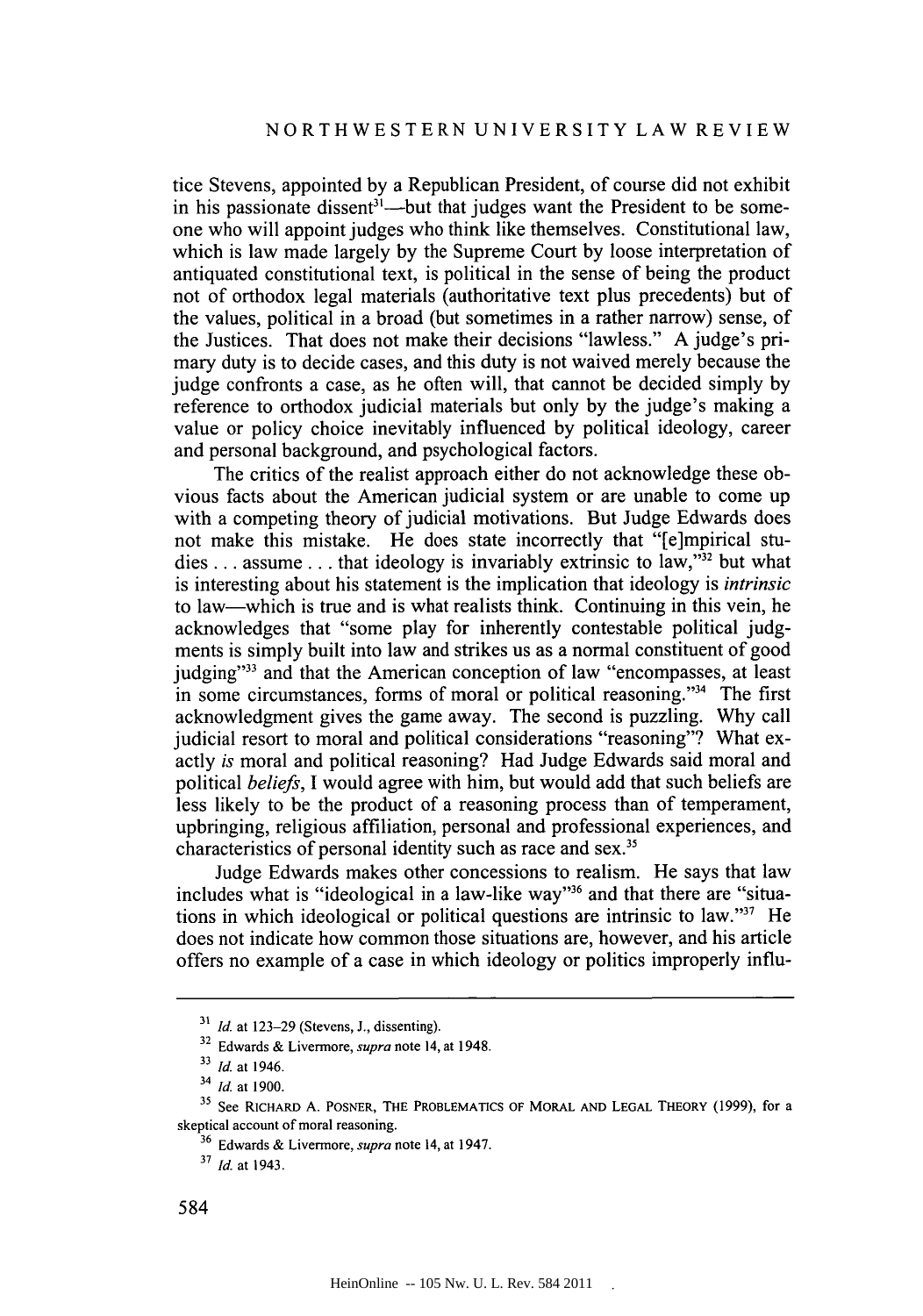tice Stevens, appointed **by** a Republican President, of course did not exhibit in his passionate dissent<sup>31</sup>—but that judges want the President to be someone who will appoint judges who think like themselves. Constitutional law, which is law made largely **by** the Supreme Court **by** loose interpretation of antiquated constitutional text, is political in the sense of being the product not of orthodox legal materials (authoritative text plus precedents) but of the values, political in a broad (but sometimes in a rather narrow) sense, of the Justices. That does not make their decisions "lawless." **A** judge's primary duty is to decide cases, and this duty is not waived merely because the judge confronts a case, as he often will, that cannot be decided simply **by** reference to orthodox judicial materials but only **by** the judge's making a value or policy choice inevitably influenced **by** political ideology, career and personal background, and psychological factors.

The critics of the realist approach either do not acknowledge these obvious facts about the American judicial system or are unable to come up with a competing theory of judicial motivations. But Judge Edwards does not make this mistake. He does state incorrectly that "[e]mpirical studies .. **.** assume **...** that ideology is invariably extrinsic to law,"32 but what is interesting about his statement is the implication that ideology is *intrinsic* to law-which is true and is what realists think. Continuing in this vein, he acknowledges that "some play for inherently contestable political **judg**ments is simply built into law and strikes us as a normal constituent of good judging"<sup>33</sup> and that the American conception of law "encompasses, at least in some circumstances, forms of moral or political reasoning."34 The first acknowledgment gives the game away. The second is puzzling. **Why** call judicial resort to moral and political considerations "reasoning"? What exactly *is* moral and political reasoning? Had Judge Edwards said moral and political *beliefs, I* would agree with him, but would add that such beliefs are less likely to be the product of a reasoning process than of temperament, upbringing, religious affiliation, personal and professional experiences, and characteristics of personal identity such as race and sex.<sup>35</sup>

Judge Edwards makes other concessions to realism. He says that law includes what is "ideological in a law-like way"<sup>36</sup> and that there are "situations in which ideological or political questions are intrinsic to law."" He does not indicate how common those situations are, however, and his article offers no example of a case in which ideology or politics improperly influ-

**<sup>31</sup>***Id.* at **123-29** (Stevens, **J.,** dissenting).

**<sup>32</sup>**Edwards **&** Livermore, *supra* note 14, at 1948.

**<sup>33</sup>***Id.* at 1946.

<sup>34</sup>*Id.* at **1900.**

<sup>&</sup>lt;sup>35</sup> See RICHARD A. POSNER, THE PROBLEMATICS OF MORAL AND LEGAL THEORY (1999), for a skeptical **account** of moral reasoning.

**<sup>36</sup>**Edwards **&** Livermore, *supra* note 14, at 1947.

**<sup>3</sup>***Id.* at 1943.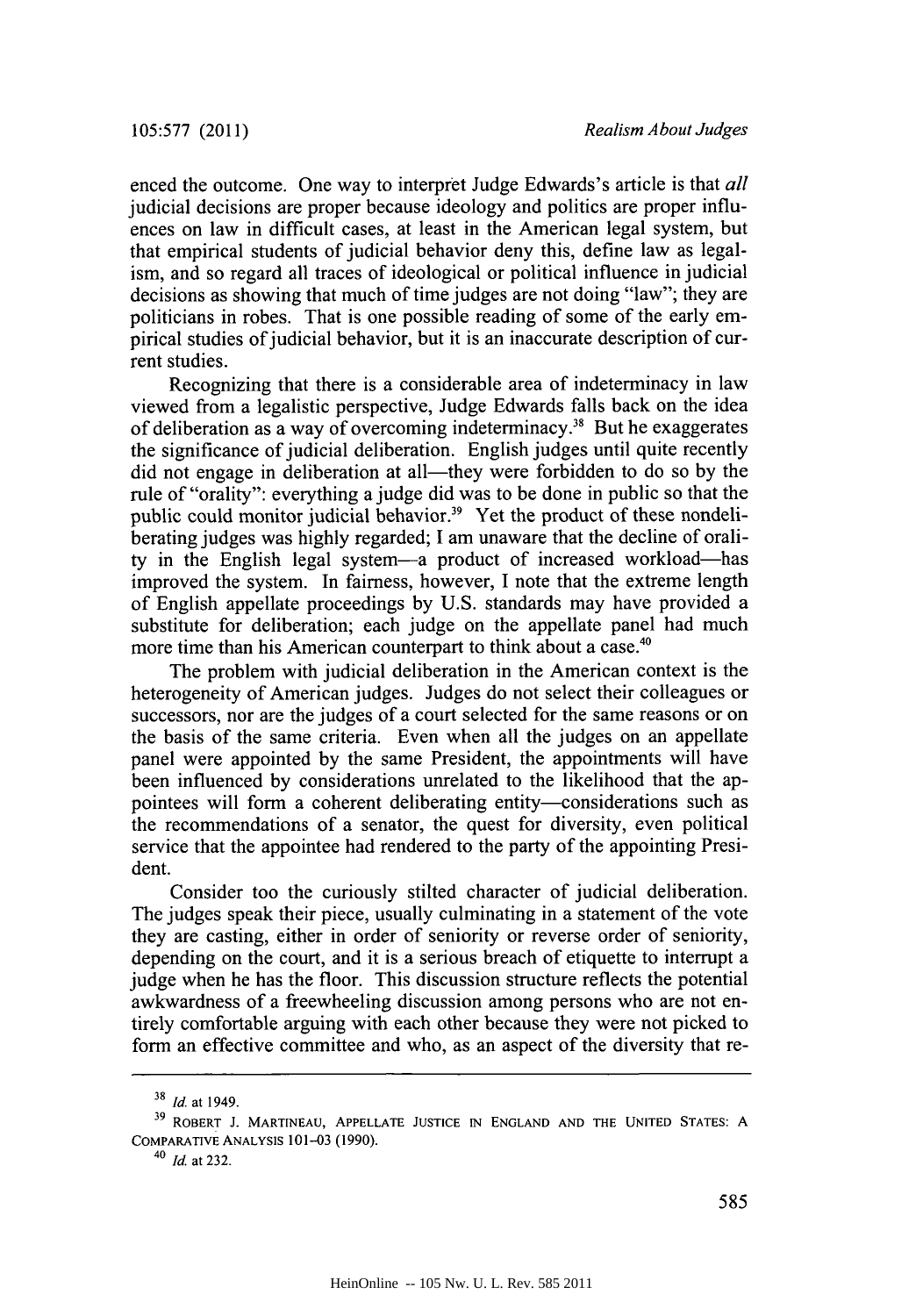enced the outcome. One way to interpret Judge Edwards's article is that *all* judicial decisions are proper because ideology and politics are proper influences on law in difficult cases, at least in the American legal system, but that empirical students of judicial behavior deny this, define law as legalism, and so regard all traces of ideological or political influence in judicial decisions as showing that much of time judges are not doing "law"; they are politicians in robes. That is one possible reading of some of the early empirical studies of judicial behavior, but it is an inaccurate description of current studies.

Recognizing that there is a considerable area of indeterminacy in law viewed from a legalistic perspective, Judge Edwards falls back on the idea of deliberation as a way of overcoming indeterminacy." But he exaggerates the significance of judicial deliberation. English judges until quite recently **did** not engage in deliberation at all-they were forbidden to do so **by** the rule of "orality": everything a judge did was to be done in public so that the public could monitor judicial behavior.<sup>39</sup> Yet the product of these nondeliberating judges was **highly** regarded; **I** am unaware that the decline of orality in the English legal system-a product of increased workload-has improved the system. In fairness, however, **I** note that the extreme length of English appellate proceedings **by U.S.** standards may have provided a substitute for deliberation; each judge on the appellate panel had much more time than his American counterpart to think about a case.<sup>40</sup>

The problem with judicial deliberation in the American context is the heterogeneity of American judges. Judges do not select their colleagues or successors, nor are the judges of a court selected for the same reasons or on the basis of the same criteria. Even when all the judges on an appellate panel were appointed **by** the same President, the appointments will have been influenced **by** considerations unrelated to the likelihood that the appointees will form a coherent deliberating entity-considerations such as the recommendations of a senator, the quest for diversity, even political service that the appointee had rendered to the party of the appointing President.

Consider too the curiously stilted character of judicial deliberation. The judges speak their piece, usually culminating in a statement of the vote they are casting, either in order of seniority or reverse order of seniority, depending on the court, and it is a serious breach of etiquette to interrupt a judge when he has the floor. This discussion structure reflects the potential awkwardness of a freewheeling discussion among persons who are not entirely comfortable arguing with each other because they were not picked to form an effective committee and who, as an aspect of the diversity that re-

**<sup>38</sup>***Id* at 1949.

**<sup>39</sup> ROBERT J. MARTINEAU, APPELLATE JUSTICE IN ENGLAND AND THE UNITED STATES: A** COMPARATIVE ANALYSIS 101-03 (1990).

<sup>40</sup>*Id.* at **232.**